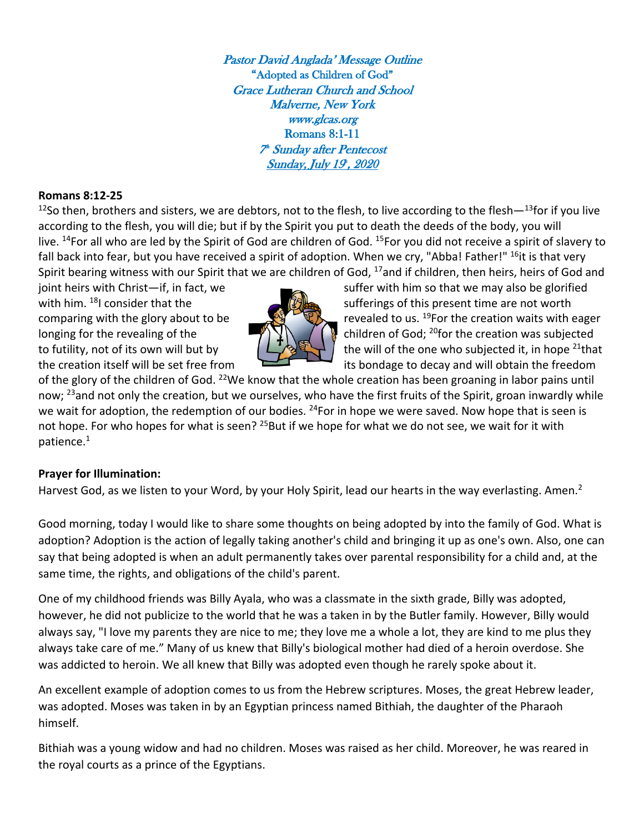Pastor David Anglada' Message Outline "Adopted as Children of God" Grace Lutheran Church and School Malverne, New York www.glcas.org Romans 8:1-11 7 th Sunday after Pentecost <u>Sunday, July 19', 2020</u>

#### **Romans 8:12-25**

<sup>12</sup>So then, brothers and sisters, we are debtors, not to the flesh, to live according to the flesh $-13$ for if you live according to the flesh, you will die; but if by the Spirit you put to death the deeds of the body, you will live. <sup>14</sup>For all who are led by the Spirit of God are children of God. <sup>15</sup>For you did not receive a spirit of slavery to fall back into fear, but you have received a spirit of adoption. When we cry, "Abba! Father!" <sup>16</sup>it is that very Spirit bearing witness with our Spirit that we are children of God, <sup>17</sup>and if children, then heirs, heirs of God and



joint heirs with Christ—if, in fact, we suffer with him so that we may also be glorified with him. <sup>18</sup>I consider that the sufferings of this present time are not worth comparing with the glory about to be  $\Box$   $\Box$  revealed to us. <sup>19</sup>For the creation waits with eager longing for the revealing of the  $\mathbb{Z} \setminus \mathbb{Z}$  children of God; <sup>20</sup>for the creation was subjected to futility, not of its own will but by  $\left(\frac{1}{2}+\frac{1}{2}\right)$  the will of the one who subjected it, in hope <sup>21</sup>that the creation itself will be set free from its bondage to decay and will obtain the freedom

of the glory of the children of God. <sup>22</sup>We know that the whole creation has been groaning in labor pains until now; <sup>23</sup>and not only the creation, but we ourselves, who have the first fruits of the Spirit, groan inwardly while we wait for adoption, the redemption of our bodies. <sup>24</sup>For in hope we were saved. Now hope that is seen is not hope. For who hopes for what is seen? <sup>25</sup>But if we hope for what we do not see, we wait for it with patience.1

# **Prayer for Illumination:**

Harvest God, as we listen to your Word, by your Holy Spirit, lead our hearts in the way everlasting. Amen.<sup>2</sup>

Good morning, today I would like to share some thoughts on being adopted by into the family of God. What is adoption? Adoption is the action of legally taking another's child and bringing it up as one's own. Also, one can say that being adopted is when an adult permanently takes over parental responsibility for a child and, at the same time, the rights, and obligations of the child's parent.

One of my childhood friends was Billy Ayala, who was a classmate in the sixth grade, Billy was adopted, however, he did not publicize to the world that he was a taken in by the Butler family. However, Billy would always say, "I love my parents they are nice to me; they love me a whole a lot, they are kind to me plus they always take care of me." Many of us knew that Billy's biological mother had died of a heroin overdose. She was addicted to heroin. We all knew that Billy was adopted even though he rarely spoke about it.

An excellent example of adoption comes to us from the Hebrew scriptures. Moses, the great Hebrew leader, was adopted. Moses was taken in by an Egyptian princess named Bithiah, the daughter of the Pharaoh himself.

Bithiah was a young widow and had no children. Moses was raised as her child. Moreover, he was reared in the royal courts as a prince of the Egyptians.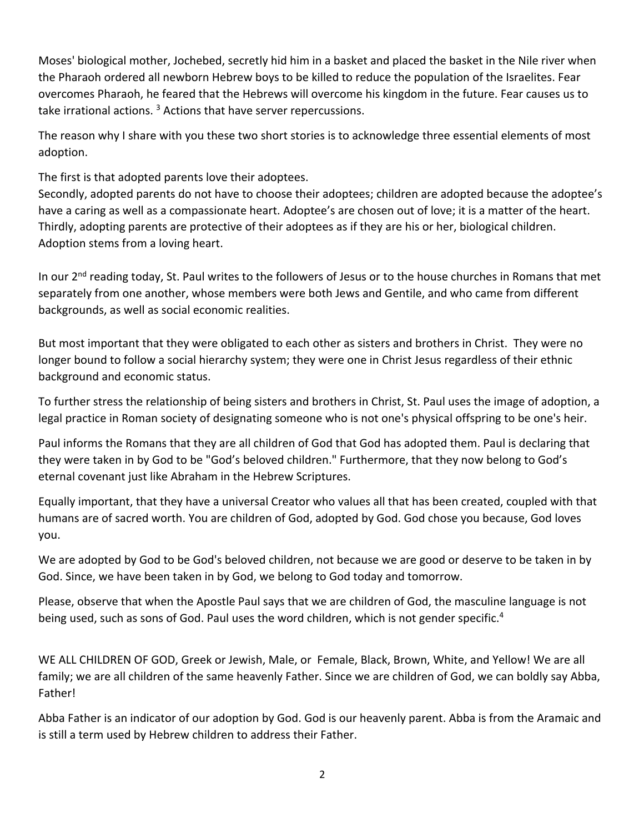Moses' biological mother, Jochebed, secretly hid him in a basket and placed the basket in the Nile river when the Pharaoh ordered all newborn Hebrew boys to be killed to reduce the population of the Israelites. Fear overcomes Pharaoh, he feared that the Hebrews will overcome his kingdom in the future. Fear causes us to take irrational actions.<sup>3</sup> Actions that have server repercussions.

The reason why I share with you these two short stories is to acknowledge three essential elements of most adoption.

The first is that adopted parents love their adoptees.

Secondly, adopted parents do not have to choose their adoptees; children are adopted because the adoptee's have a caring as well as a compassionate heart. Adoptee's are chosen out of love; it is a matter of the heart. Thirdly, adopting parents are protective of their adoptees as if they are his or her, biological children. Adoption stems from a loving heart.

In our 2<sup>nd</sup> reading today, St. Paul writes to the followers of Jesus or to the house churches in Romans that met separately from one another, whose members were both Jews and Gentile, and who came from different backgrounds, as well as social economic realities.

But most important that they were obligated to each other as sisters and brothers in Christ. They were no longer bound to follow a social hierarchy system; they were one in Christ Jesus regardless of their ethnic background and economic status.

To further stress the relationship of being sisters and brothers in Christ, St. Paul uses the image of adoption, a legal practice in Roman society of designating someone who is not one's physical offspring to be one's heir.

Paul informs the Romans that they are all children of God that God has adopted them. Paul is declaring that they were taken in by God to be "God's beloved children." Furthermore, that they now belong to God's eternal covenant just like Abraham in the Hebrew Scriptures.

Equally important, that they have a universal Creator who values all that has been created, coupled with that humans are of sacred worth. You are children of God, adopted by God. God chose you because, God loves you.

We are adopted by God to be God's beloved children, not because we are good or deserve to be taken in by God. Since, we have been taken in by God, we belong to God today and tomorrow.

Please, observe that when the Apostle Paul says that we are children of God, the masculine language is not being used, such as sons of God. Paul uses the word children, which is not gender specific.<sup>4</sup>

WE ALL CHILDREN OF GOD, Greek or Jewish, Male, or Female, Black, Brown, White, and Yellow! We are all family; we are all children of the same heavenly Father. Since we are children of God, we can boldly say Abba, Father!

Abba Father is an indicator of our adoption by God. God is our heavenly parent. Abba is from the Aramaic and is still a term used by Hebrew children to address their Father.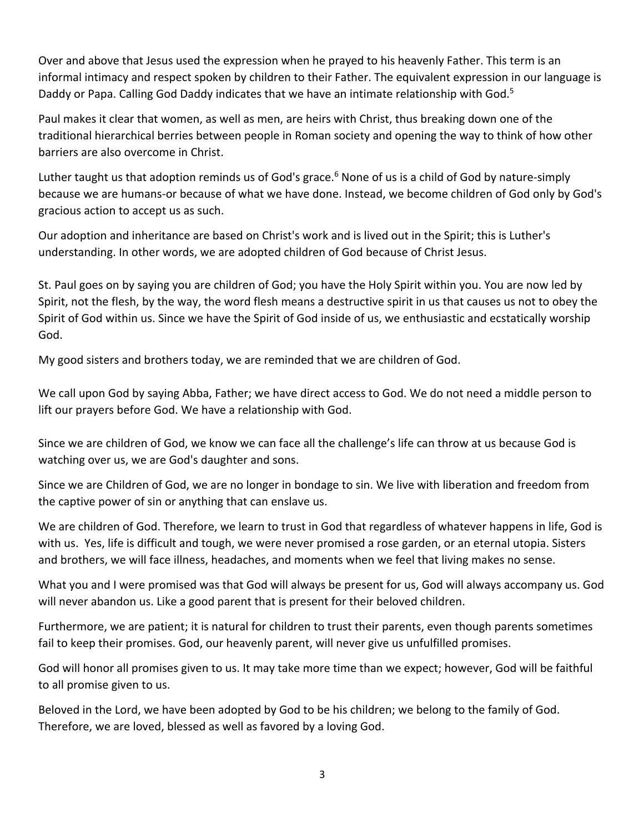Over and above that Jesus used the expression when he prayed to his heavenly Father. This term is an informal intimacy and respect spoken by children to their Father. The equivalent expression in our language is Daddy or Papa. Calling God Daddy indicates that we have an intimate relationship with God.<sup>5</sup>

Paul makes it clear that women, as well as men, are heirs with Christ, thus breaking down one of the traditional hierarchical berries between people in Roman society and opening the way to think of how other barriers are also overcome in Christ.

Luther taught us that adoption reminds us of God's grace.<sup>6</sup> None of us is a child of God by nature-simply because we are humans-or because of what we have done. Instead, we become children of God only by God's gracious action to accept us as such.

Our adoption and inheritance are based on Christ's work and is lived out in the Spirit; this is Luther's understanding. In other words, we are adopted children of God because of Christ Jesus.

St. Paul goes on by saying you are children of God; you have the Holy Spirit within you. You are now led by Spirit, not the flesh, by the way, the word flesh means a destructive spirit in us that causes us not to obey the Spirit of God within us. Since we have the Spirit of God inside of us, we enthusiastic and ecstatically worship God.

My good sisters and brothers today, we are reminded that we are children of God.

We call upon God by saying Abba, Father; we have direct access to God. We do not need a middle person to lift our prayers before God. We have a relationship with God.

Since we are children of God, we know we can face all the challenge's life can throw at us because God is watching over us, we are God's daughter and sons.

Since we are Children of God, we are no longer in bondage to sin. We live with liberation and freedom from the captive power of sin or anything that can enslave us.

We are children of God. Therefore, we learn to trust in God that regardless of whatever happens in life, God is with us. Yes, life is difficult and tough, we were never promised a rose garden, or an eternal utopia. Sisters and brothers, we will face illness, headaches, and moments when we feel that living makes no sense.

What you and I were promised was that God will always be present for us, God will always accompany us. God will never abandon us. Like a good parent that is present for their beloved children.

Furthermore, we are patient; it is natural for children to trust their parents, even though parents sometimes fail to keep their promises. God, our heavenly parent, will never give us unfulfilled promises.

God will honor all promises given to us. It may take more time than we expect; however, God will be faithful to all promise given to us.

Beloved in the Lord, we have been adopted by God to be his children; we belong to the family of God. Therefore, we are loved, blessed as well as favored by a loving God.